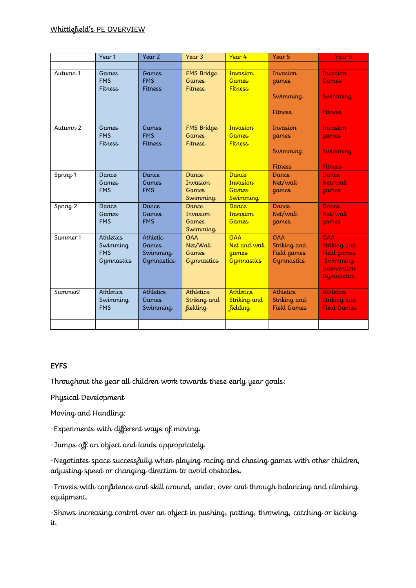## Whittlefield's PE OVERVIEW

|                     | Year 1                                | Year 2                                | Year 3                                       | Year 4                                     | Year 5                             | Year 6                             |
|---------------------|---------------------------------------|---------------------------------------|----------------------------------------------|--------------------------------------------|------------------------------------|------------------------------------|
|                     |                                       |                                       |                                              |                                            |                                    |                                    |
| Autumn 1            | <b>Games</b><br><b>FMS</b><br>Fitness | <b>Games</b><br><b>FMS</b><br>Fitness | FMS Bridge<br><b>Games</b><br><b>Fitness</b> | Invasion<br><b>Games</b><br><b>Fitness</b> | Invasion<br>games                  | Invasion<br><b>Games</b>           |
|                     |                                       |                                       |                                              |                                            | Swimming<br>Fitness                | <b>Swimming</b><br><b>Fitness</b>  |
|                     |                                       |                                       |                                              |                                            |                                    |                                    |
| Autumn <sub>2</sub> | <b>Games</b><br><b>FMS</b><br>Fitness | <b>Games</b><br><b>FMS</b><br>Fitness | FMS Bridge<br><b>Games</b><br><b>Fitness</b> | Invasion<br><b>Games</b><br><b>Fitness</b> | Invasion<br>games                  | <b>Invasion</b><br>games           |
|                     |                                       |                                       |                                              |                                            | Swimming<br>Fitness                | <b>Swimming</b><br><b>Fitness</b>  |
|                     | Dance                                 | Dance                                 | Dance                                        | <b>Dance</b>                               | Dance                              | Dance                              |
| Spring <sub>1</sub> | <b>Games</b>                          | <b>Games</b>                          | Invasion                                     | Invasion                                   | Net/wall                           | Net/wall                           |
|                     | <b>FMS</b>                            | <b>FMS</b>                            | <b>Games</b>                                 | <b>Games</b>                               | games                              | <b>games</b>                       |
|                     |                                       |                                       | Swimming                                     | <b>Swimming</b>                            |                                    |                                    |
| Spring <sub>2</sub> | Dance                                 | Dance                                 | Dance                                        | <b>Dance</b>                               | Dance                              | Dance                              |
|                     | <b>Games</b>                          | <b>Games</b>                          | Invasion                                     | Invasion                                   | Net/wall                           | Net/wall                           |
|                     | <b>FMS</b>                            | <b>FMS</b>                            | <b>Games</b><br>Swimming                     | <b>Games</b>                               | games                              | <b>games</b>                       |
| Summer 1            | Athletics                             | Athletic                              | <b>OAA</b>                                   | <b>OAA</b>                                 | <b>OAA</b>                         | <b>OAA</b>                         |
|                     | Swimming                              | Games                                 | Net/Wall                                     | Net and wall                               | Striking and                       | Striking and                       |
|                     | <b>FMS</b>                            | Swimming                              | <b>Games</b>                                 | games                                      | Field games                        | Field games                        |
|                     | Gymnastics                            | Gymnastics                            | Gymnastics                                   | <b>Gymnastics</b>                          | <b>Gymnastics</b>                  | Swimming                           |
|                     |                                       |                                       |                                              |                                            |                                    | <b>Intervention</b>                |
|                     |                                       |                                       |                                              |                                            |                                    | <b>Gymnastics</b>                  |
| Summer <sub>2</sub> | Athletics                             | Athletics                             | <b>Athletics</b>                             | <b>Athletics</b>                           | Athletics                          | <b>Athletics</b>                   |
|                     | Swimming<br><b>FMS</b>                | <b>Games</b><br>Swimming              | Striking and<br><i>fielding</i>              | Striking and<br>fielding                   | Striking and<br><b>Field Games</b> | Striking and<br><b>Field Games</b> |
|                     |                                       |                                       |                                              |                                            |                                    |                                    |
|                     |                                       |                                       |                                              |                                            |                                    |                                    |

## **EYFS**

Throughout the year all children work towards these early year goals:

Physical Development

Moving and Handling:

-Experiments with different ways of moving.

-Jumps off an object and lands appropriately.

-Negotiates space successfully when playing racing and chasing games with other children, adjusting speed or changing direction to avoid obstacles.

-Travels with confidence and skill around, under, over and through balancing and climbing equipment.

-Shows increasing control over an object in pushing, patting, throwing, catching or kicking it.